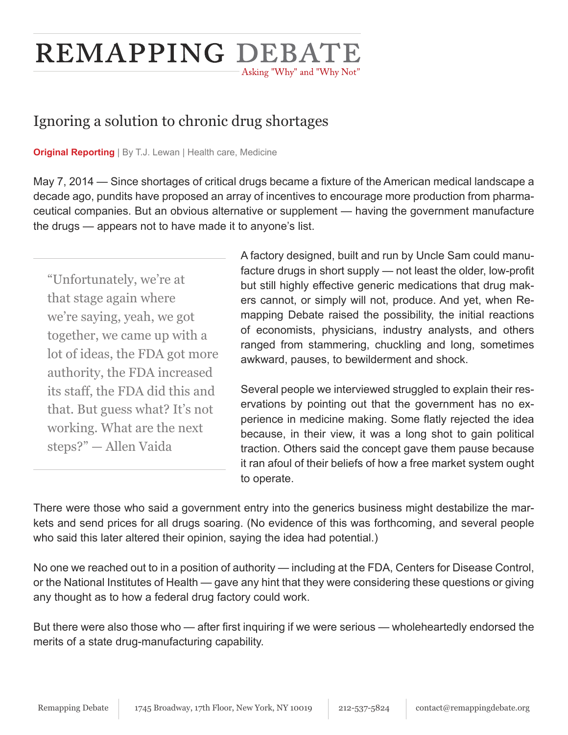# REMAPPING DEBATE Asking "Why" and "Why Not"

## Ignoring a solution to chronic drug shortages

**Original Reporting** | By T.J. Lewan | Health care, Medicine

May 7, 2014 — Since shortages of critical drugs became a fixture of the American medical landscape a decade ago, pundits have proposed an array of incentives to encourage more production from pharmaceutical companies. But an obvious alternative or supplement — having the government manufacture the drugs — appears not to have made it to anyone's list.

"Unfortunately, we're at that stage again where we're saying, yeah, we got together, we came up with a lot of ideas, the FDA got more authority, the FDA increased its staff, the FDA did this and that. But guess what? It's not working. What are the next steps?" — Allen Vaida

A factory designed, built and run by Uncle Sam could manufacture drugs in short supply — not least the older, low-profit but still highly effective generic medications that drug makers cannot, or simply will not, produce. And yet, when Remapping Debate raised the possibility, the initial reactions of economists, physicians, industry analysts, and others ranged from stammering, chuckling and long, sometimes awkward, pauses, to bewilderment and shock.

Several people we interviewed struggled to explain their reservations by pointing out that the government has no experience in medicine making. Some flatly rejected the idea because, in their view, it was a long shot to gain political traction. Others said the concept gave them pause because it ran afoul of their beliefs of how a free market system ought to operate.

There were those who said a government entry into the generics business might destabilize the markets and send prices for all drugs soaring. (No evidence of this was forthcoming, and several people who said this later altered their opinion, saying the idea had potential.)

No one we reached out to in a position of authority — including at the FDA, Centers for Disease Control, or the National Institutes of Health — gave any hint that they were considering these questions or giving any thought as to how a federal drug factory could work.

But there were also those who — after first inquiring if we were serious — wholeheartedly endorsed the merits of a state drug-manufacturing capability.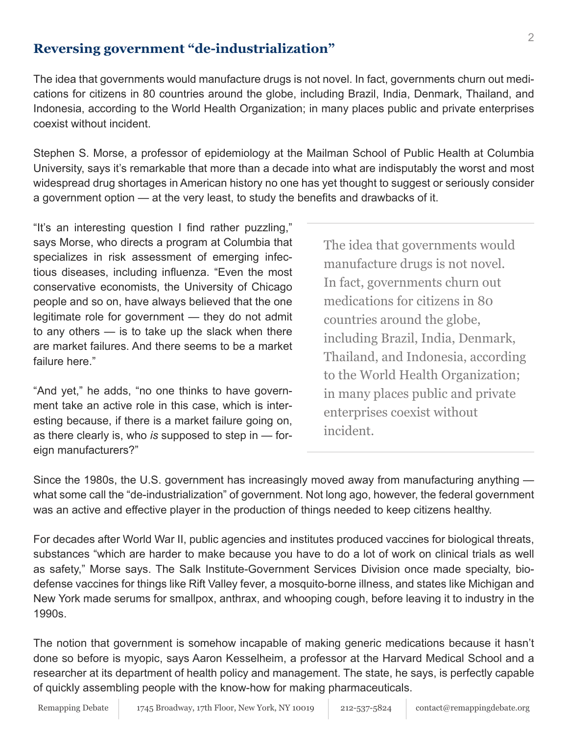#### **Reversing government "de-industrialization"**

The idea that governments would manufacture drugs is not novel. In fact, governments churn out medications for citizens in 80 countries around the globe, including Brazil, India, Denmark, Thailand, and Indonesia, according to the World Health Organization; in many places public and private enterprises coexist without incident.

Stephen S. Morse, a professor of epidemiology at the Mailman School of Public Health at Columbia University, says it's remarkable that more than a decade into what are indisputably the worst and most widespread drug shortages in American history no one has yet thought to suggest or seriously consider a government option — at the very least, to study the benefits and drawbacks of it.

"It's an interesting question I find rather puzzling," says Morse, who directs a program at Columbia that specializes in risk assessment of emerging infectious diseases, including influenza. "Even the most conservative economists, the University of Chicago people and so on, have always believed that the one legitimate role for government — they do not admit to any others — is to take up the slack when there are market failures. And there seems to be a market failure here."

"And yet," he adds, "no one thinks to have government take an active role in this case, which is interesting because, if there is a market failure going on, as there clearly is, who *is* supposed to step in — foreign manufacturers?"

The idea that governments would manufacture drugs is not novel. In fact, governments churn out medications for citizens in 80 countries around the globe, including Brazil, India, Denmark, Thailand, and Indonesia, according to the World Health Organization; in many places public and private enterprises coexist without incident.

Since the 1980s, the U.S. government has increasingly moved away from manufacturing anything what some call the "de-industrialization" of government. Not long ago, however, the federal government was an active and effective player in the production of things needed to keep citizens healthy.

For decades after World War II, public agencies and institutes produced vaccines for biological threats, substances "which are harder to make because you have to do a lot of work on clinical trials as well as safety," Morse says. The Salk Institute-Government Services Division once made specialty, biodefense vaccines for things like Rift Valley fever, a mosquito-borne illness, and states like Michigan and New York made serums for smallpox, anthrax, and whooping cough, before leaving it to industry in the 1990s.

The notion that government is somehow incapable of making generic medications because it hasn't done so before is myopic, says Aaron Kesselheim, a professor at the Harvard Medical School and a researcher at its department of health policy and management. The state, he says, is perfectly capable of quickly assembling people with the know-how for making pharmaceuticals.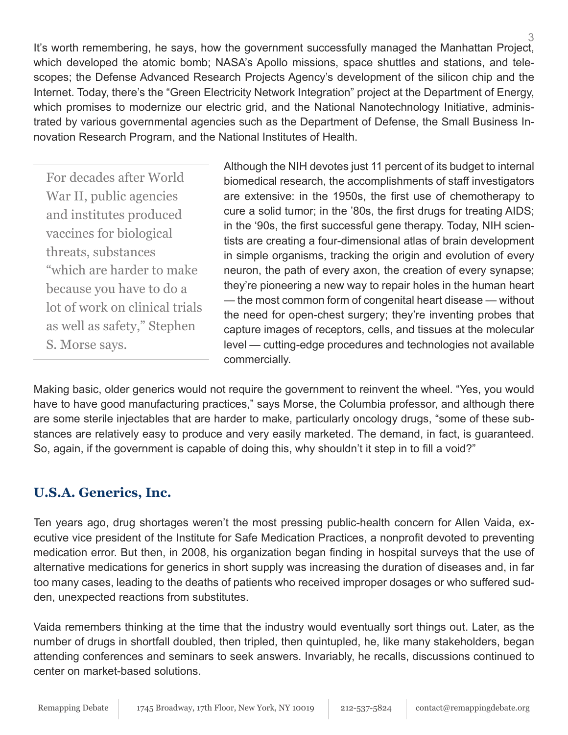It's worth remembering, he says, how the government successfully managed the Manhattan Project, which developed the atomic bomb; NASA's Apollo missions, space shuttles and stations, and telescopes; the Defense Advanced Research Projects Agency's development of the silicon chip and the Internet. Today, there's the "Green Electricity Network Integration" project at the Department of Energy, which promises to modernize our electric grid, and the National Nanotechnology Initiative, administrated by various governmental agencies such as the Department of Defense, the Small Business Innovation Research Program, and the National Institutes of Health.

For decades after World War II, public agencies and institutes produced vaccines for biological threats, substances "which are harder to make because you have to do a lot of work on clinical trials as well as safety," Stephen S. Morse says.

Although the NIH devotes just 11 percent of its budget to internal biomedical research, the accomplishments of staff investigators are extensive: in the 1950s, the first use of chemotherapy to cure a solid tumor; in the '80s, the first drugs for treating AIDS; in the '90s, the first successful gene therapy. Today, NIH scientists are creating a four-dimensional atlas of brain development in simple organisms, tracking the origin and evolution of every neuron, the path of every axon, the creation of every synapse; they're pioneering a new way to repair holes in the human heart — the most common form of congenital heart disease — without the need for open-chest surgery; they're inventing probes that capture images of receptors, cells, and tissues at the molecular level — cutting-edge procedures and technologies not available commercially.

Making basic, older generics would not require the government to reinvent the wheel. "Yes, you would have to have good manufacturing practices," says Morse, the Columbia professor, and although there are some sterile injectables that are harder to make, particularly oncology drugs, "some of these substances are relatively easy to produce and very easily marketed. The demand, in fact, is guaranteed. So, again, if the government is capable of doing this, why shouldn't it step in to fill a void?"

#### **U.S.A. Generics, Inc.**

Ten years ago, drug shortages weren't the most pressing public-health concern for Allen Vaida, executive vice president of the Institute for Safe Medication Practices, a nonprofit devoted to preventing medication error. But then, in 2008, his organization began finding in hospital surveys that the use of alternative medications for generics in short supply was increasing the duration of diseases and, in far too many cases, leading to the deaths of patients who received improper dosages or who suffered sudden, unexpected reactions from substitutes.

Vaida remembers thinking at the time that the industry would eventually sort things out. Later, as the number of drugs in shortfall doubled, then tripled, then quintupled, he, like many stakeholders, began attending conferences and seminars to seek answers. Invariably, he recalls, discussions continued to center on market-based solutions.

3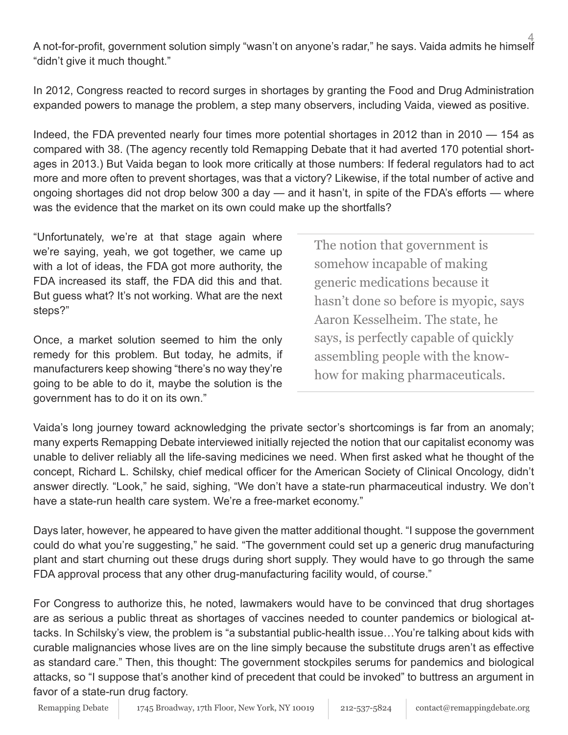4 A not-for-profit, government solution simply "wasn't on anyone's radar," he says. Vaida admits he himself "didn't give it much thought."

In 2012, Congress reacted to record surges in shortages by granting the Food and Drug Administration expanded powers to manage the problem, a step many observers, including Vaida, viewed as positive.

Indeed, the FDA prevented nearly four times more potential shortages in 2012 than in 2010 — 154 as compared with 38. (The agency recently told Remapping Debate that it had averted 170 potential shortages in 2013.) But Vaida began to look more critically at those numbers: If federal regulators had to act more and more often to prevent shortages, was that a victory? Likewise, if the total number of active and ongoing shortages did not drop below 300 a day — and it hasn't, in spite of the FDA's efforts — where was the evidence that the market on its own could make up the shortfalls?

"Unfortunately, we're at that stage again where we're saying, yeah, we got together, we came up with a lot of ideas, the FDA got more authority, the FDA increased its staff, the FDA did this and that. But guess what? It's not working. What are the next steps?"

Once, a market solution seemed to him the only remedy for this problem. But today, he admits, if manufacturers keep showing "there's no way they're going to be able to do it, maybe the solution is the government has to do it on its own."

The notion that government is somehow incapable of making generic medications because it hasn't done so before is myopic, says Aaron Kesselheim. The state, he says, is perfectly capable of quickly assembling people with the knowhow for making pharmaceuticals.

Vaida's long journey toward acknowledging the private sector's shortcomings is far from an anomaly; many experts Remapping Debate interviewed initially rejected the notion that our capitalist economy was unable to deliver reliably all the life-saving medicines we need. When first asked what he thought of the concept, Richard L. Schilsky, chief medical officer for the American Society of Clinical Oncology, didn't answer directly. "Look," he said, sighing, "We don't have a state-run pharmaceutical industry. We don't have a state-run health care system. We're a free-market economy."

Days later, however, he appeared to have given the matter additional thought. "I suppose the government could do what you're suggesting," he said. "The government could set up a generic drug manufacturing plant and start churning out these drugs during short supply. They would have to go through the same FDA approval process that any other drug-manufacturing facility would, of course."

For Congress to authorize this, he noted, lawmakers would have to be convinced that drug shortages are as serious a public threat as shortages of vaccines needed to counter pandemics or biological attacks. In Schilsky's view, the problem is "a substantial public-health issue…You're talking about kids with curable malignancies whose lives are on the line simply because the substitute drugs aren't as effective as standard care." Then, this thought: The government stockpiles serums for pandemics and biological attacks, so "I suppose that's another kind of precedent that could be invoked" to buttress an argument in favor of a state-run drug factory.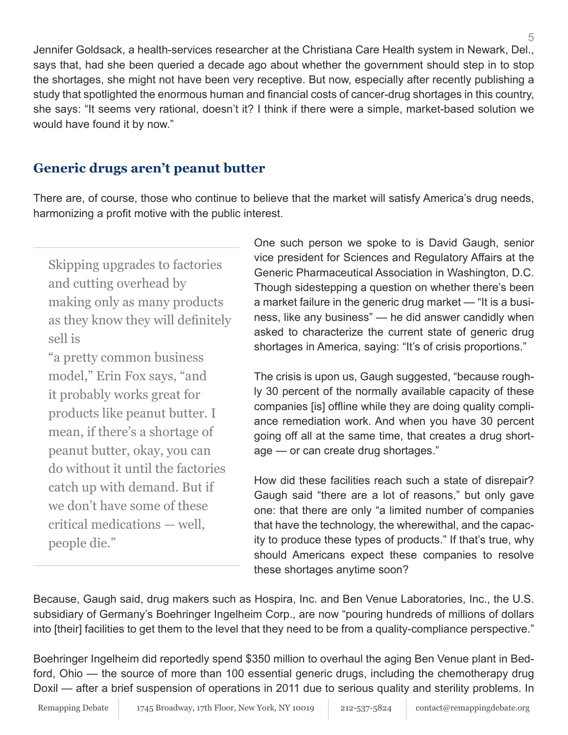Jennifer Goldsack, a health-services researcher at the Christiana Care Health system in Newark, Del., says that, had she been queried a decade ago about whether the government should step in to stop the shortages, she might not have been very receptive. But now, especially after recently publishing a study that spotlighted the enormous human and financial costs of cancer-drug shortages in this country, she says: "It seems very rational, doesn't it? I think if there were a simple, market-based solution we would have found it by now."

## **Generic drugs aren't peanut butter**

There are, of course, those who continue to believe that the market will satisfy America's drug needs, harmonizing a profit motive with the public interest.

Skipping upgrades to factories and cutting overhead by making only as many products as they know they will definitely sell is

"a pretty common business model," Erin Fox says, "and it probably works great for products like peanut butter. I mean, if there's a shortage of peanut butter, okay, you can do without it until the factories catch up with demand. But if we don't have some of these critical medications — well, people die."

One such person we spoke to is David Gaugh, senior vice president for Sciences and Regulatory Affairs at the Generic Pharmaceutical Association in Washington, D.C. Though sidestepping a question on whether there's been a market failure in the generic drug market — "It is a business, like any business" — he did answer candidly when asked to characterize the current state of generic drug shortages in America, saying: "It's of crisis proportions."

The crisis is upon us, Gaugh suggested, "because roughly 30 percent of the normally available capacity of these companies [is] offline while they are doing quality compliance remediation work. And when you have 30 percent going off all at the same time, that creates a drug shortage — or can create drug shortages."

How did these facilities reach such a state of disrepair? Gaugh said "there are a lot of reasons," but only gave one: that there are only "a limited number of companies that have the technology, the wherewithal, and the capacity to produce these types of products." If that's true, why should Americans expect these companies to resolve these shortages anytime soon?

Because, Gaugh said, drug makers such as Hospira, Inc. and Ben Venue Laboratories, Inc., the U.S. subsidiary of Germany's Boehringer Ingelheim Corp., are now "pouring hundreds of millions of dollars into [their] facilities to get them to the level that they need to be from a quality-compliance perspective."

Boehringer Ingelheim did reportedly spend \$350 million to overhaul the aging Ben Venue plant in Bedford, Ohio — the source of more than 100 essential generic drugs, including the chemotherapy drug Doxil — after a brief suspension of operations in 2011 due to serious quality and sterility problems. In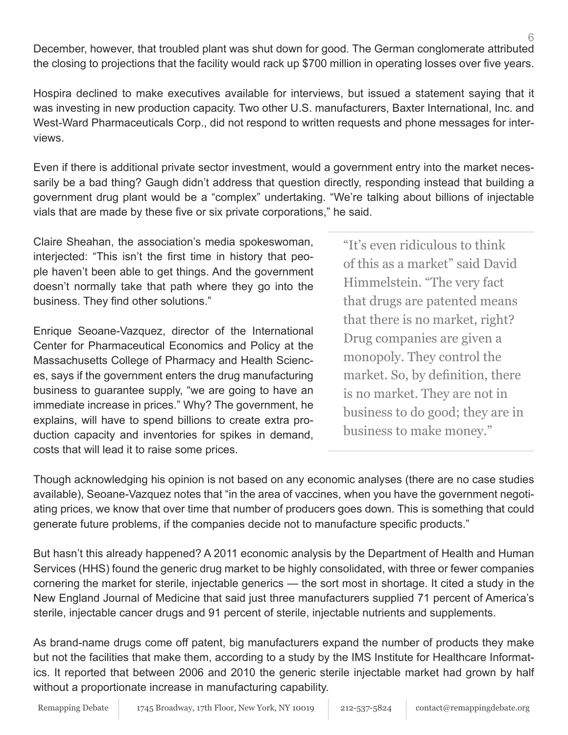6 December, however, that troubled plant was shut down for good. The German conglomerate attributed the closing to projections that the facility would rack up \$700 million in operating losses over five years.

Hospira declined to make executives available for interviews, but issued a statement saying that it was investing in new production capacity. Two other U.S. manufacturers, Baxter International, Inc. and West-Ward Pharmaceuticals Corp., did not respond to written requests and phone messages for interviews.

Even if there is additional private sector investment, would a government entry into the market necessarily be a bad thing? Gaugh didn't address that question directly, responding instead that building a government drug plant would be a "complex" undertaking. "We're talking about billions of injectable vials that are made by these five or six private corporations," he said.

Claire Sheahan, the association's media spokeswoman, interjected: "This isn't the first time in history that people haven't been able to get things. And the government doesn't normally take that path where they go into the business. They find other solutions."

Enrique Seoane-Vazquez, director of the International Center for Pharmaceutical Economics and Policy at the Massachusetts College of Pharmacy and Health Sciences, says if the government enters the drug manufacturing business to guarantee supply, "we are going to have an immediate increase in prices." Why? The government, he explains, will have to spend billions to create extra production capacity and inventories for spikes in demand, costs that will lead it to raise some prices.

"It's even ridiculous to think of this as a market" said David Himmelstein. "The very fact that drugs are patented means that there is no market, right? Drug companies are given a monopoly. They control the market. So, by definition, there is no market. They are not in business to do good; they are in business to make money."

Though acknowledging his opinion is not based on any economic analyses (there are no case studies available), Seoane-Vazquez notes that "in the area of vaccines, when you have the government negotiating prices, we know that over time that number of producers goes down. This is something that could generate future problems, if the companies decide not to manufacture specific products."

But hasn't this already happened? A 2011 economic analysis by the Department of Health and Human Services (HHS) found the generic drug market to be highly consolidated, with three or fewer companies cornering the market for sterile, injectable generics — the sort most in shortage. It cited a study in the New England Journal of Medicine that said just three manufacturers supplied 71 percent of America's sterile, injectable cancer drugs and 91 percent of sterile, injectable nutrients and supplements.

As brand-name drugs come off patent, big manufacturers expand the number of products they make but not the facilities that make them, according to a study by the IMS Institute for Healthcare Informatics. It reported that between 2006 and 2010 the generic sterile injectable market had grown by half without a proportionate increase in manufacturing capability.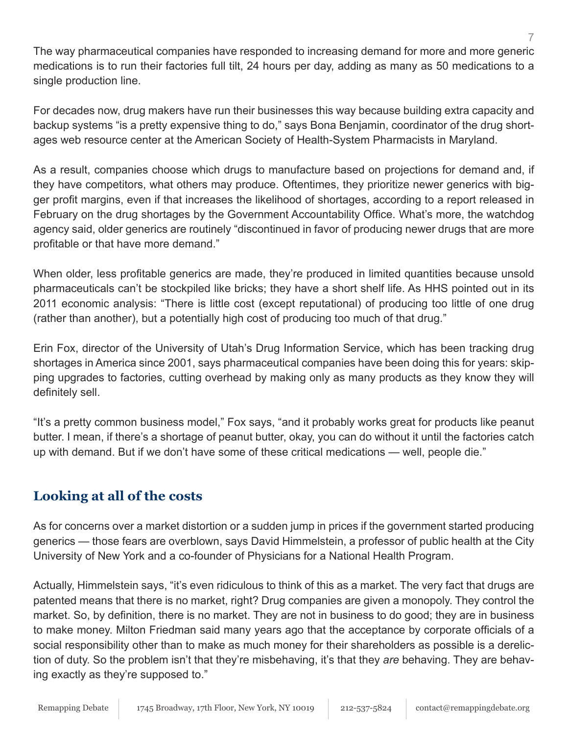The way pharmaceutical companies have responded to increasing demand for more and more generic medications is to run their factories full tilt, 24 hours per day, adding as many as 50 medications to a single production line.

For decades now, drug makers have run their businesses this way because building extra capacity and backup systems "is a pretty expensive thing to do," says Bona Benjamin, coordinator of the drug shortages web resource center at the American Society of Health-System Pharmacists in Maryland.

As a result, companies choose which drugs to manufacture based on projections for demand and, if they have competitors, what others may produce. Oftentimes, they prioritize newer generics with bigger profit margins, even if that increases the likelihood of shortages, according to a report released in February on the drug shortages by the Government Accountability Office. What's more, the watchdog agency said, older generics are routinely "discontinued in favor of producing newer drugs that are more profitable or that have more demand."

When older, less profitable generics are made, they're produced in limited quantities because unsold pharmaceuticals can't be stockpiled like bricks; they have a short shelf life. As HHS pointed out in its 2011 economic analysis: "There is little cost (except reputational) of producing too little of one drug (rather than another), but a potentially high cost of producing too much of that drug."

Erin Fox, director of the University of Utah's Drug Information Service, which has been tracking drug shortages in America since 2001, says pharmaceutical companies have been doing this for years: skipping upgrades to factories, cutting overhead by making only as many products as they know they will definitely sell.

"It's a pretty common business model," Fox says, "and it probably works great for products like peanut butter. I mean, if there's a shortage of peanut butter, okay, you can do without it until the factories catch up with demand. But if we don't have some of these critical medications — well, people die."

## **Looking at all of the costs**

As for concerns over a market distortion or a sudden jump in prices if the government started producing generics — those fears are overblown, says David Himmelstein, a professor of public health at the City University of New York and a co-founder of Physicians for a National Health Program.

Actually, Himmelstein says, "it's even ridiculous to think of this as a market. The very fact that drugs are patented means that there is no market, right? Drug companies are given a monopoly. They control the market. So, by definition, there is no market. They are not in business to do good; they are in business to make money. Milton Friedman said many years ago that the acceptance by corporate officials of a social responsibility other than to make as much money for their shareholders as possible is a dereliction of duty. So the problem isn't that they're misbehaving, it's that they *are* behaving. They are behaving exactly as they're supposed to."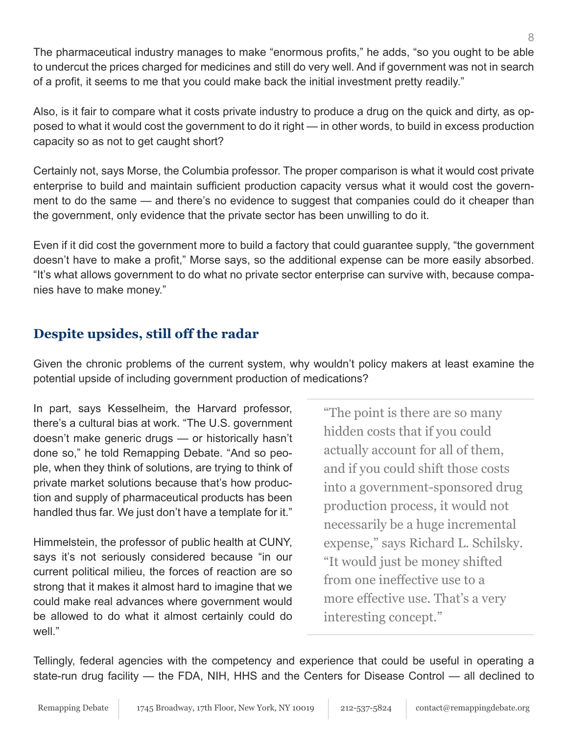The pharmaceutical industry manages to make "enormous profits," he adds, "so you ought to be able to undercut the prices charged for medicines and still do very well. And if government was not in search of a profit, it seems to me that you could make back the initial investment pretty readily."

Also, is it fair to compare what it costs private industry to produce a drug on the quick and dirty, as opposed to what it would cost the government to do it right — in other words, to build in excess production capacity so as not to get caught short?

Certainly not, says Morse, the Columbia professor. The proper comparison is what it would cost private enterprise to build and maintain sufficient production capacity versus what it would cost the government to do the same — and there's no evidence to suggest that companies could do it cheaper than the government, only evidence that the private sector has been unwilling to do it.

Even if it did cost the government more to build a factory that could guarantee supply, "the government doesn't have to make a profit," Morse says, so the additional expense can be more easily absorbed. "It's what allows government to do what no private sector enterprise can survive with, because companies have to make money."

## **Despite upsides, still off the radar**

Given the chronic problems of the current system, why wouldn't policy makers at least examine the potential upside of including government production of medications?

In part, says Kesselheim, the Harvard professor, there's a cultural bias at work. "The U.S. government doesn't make generic drugs — or historically hasn't done so," he told Remapping Debate. "And so people, when they think of solutions, are trying to think of private market solutions because that's how production and supply of pharmaceutical products has been handled thus far. We just don't have a template for it."

Himmelstein, the professor of public health at CUNY, says it's not seriously considered because "in our current political milieu, the forces of reaction are so strong that it makes it almost hard to imagine that we could make real advances where government would be allowed to do what it almost certainly could do well."

"The point is there are so many hidden costs that if you could actually account for all of them, and if you could shift those costs into a government-sponsored drug production process, it would not necessarily be a huge incremental expense," says Richard L. Schilsky. "It would just be money shifted from one ineffective use to a more effective use. That's a very interesting concept."

Tellingly, federal agencies with the competency and experience that could be useful in operating a state-run drug facility — the FDA, NIH, HHS and the Centers for Disease Control — all declined to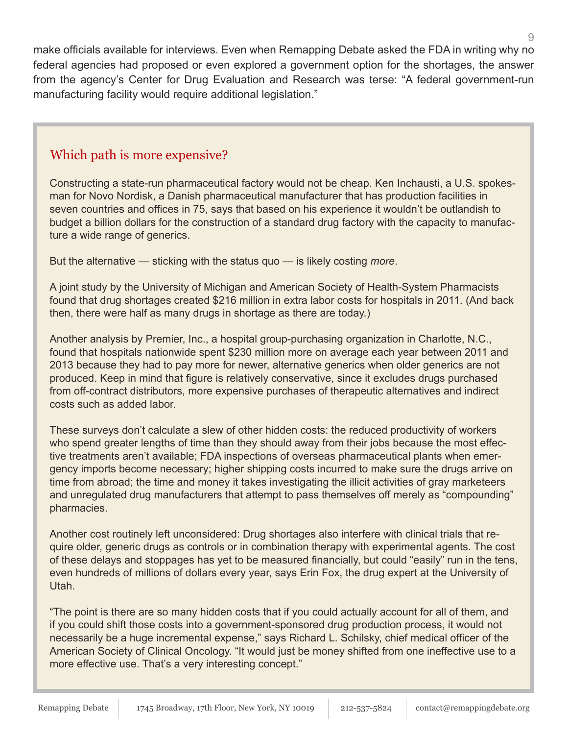make officials available for interviews. Even when Remapping Debate asked the FDA in writing why no federal agencies had proposed or even explored a government option for the shortages, the answer from the agency's Center for Drug Evaluation and Research was terse: "A federal government-run manufacturing facility would require additional legislation."

#### Which path is more expensive?

Constructing a state-run pharmaceutical factory would not be cheap. Ken Inchausti, a U.S. spokesman for Novo Nordisk, a Danish pharmaceutical manufacturer that has production facilities in seven countries and offices in 75, says that based on his experience it wouldn't be outlandish to budget a billion dollars for the construction of a standard drug factory with the capacity to manufacture a wide range of generics.

But the alternative — sticking with the status quo — is likely costing *more*.

A joint study by the University of Michigan and American Society of Health-System Pharmacists found that drug shortages created \$216 million in extra labor costs for hospitals in 2011. (And back then, there were half as many drugs in shortage as there are today.)

Another analysis by Premier, Inc., a hospital group-purchasing organization in Charlotte, N.C., found that hospitals nationwide spent \$230 million more on average each year between 2011 and 2013 because they had to pay more for newer, alternative generics when older generics are not produced. Keep in mind that figure is relatively conservative, since it excludes drugs purchased from off-contract distributors, more expensive purchases of therapeutic alternatives and indirect costs such as added labor.

These surveys don't calculate a slew of other hidden costs: the reduced productivity of workers who spend greater lengths of time than they should away from their jobs because the most effective treatments aren't available; FDA inspections of overseas pharmaceutical plants when emergency imports become necessary; higher shipping costs incurred to make sure the drugs arrive on time from abroad; the time and money it takes investigating the illicit activities of gray marketeers and unregulated drug manufacturers that attempt to pass themselves off merely as "compounding" pharmacies.

Another cost routinely left unconsidered: Drug shortages also interfere with clinical trials that require older, generic drugs as controls or in combination therapy with experimental agents. The cost of these delays and stoppages has yet to be measured financially, but could "easily" run in the tens, even hundreds of millions of dollars every year, says Erin Fox, the drug expert at the University of Utah.

"The point is there are so many hidden costs that if you could actually account for all of them, and if you could shift those costs into a government-sponsored drug production process, it would not necessarily be a huge incremental expense," says Richard L. Schilsky, chief medical officer of the American Society of Clinical Oncology. "It would just be money shifted from one ineffective use to a more effective use. That's a very interesting concept."